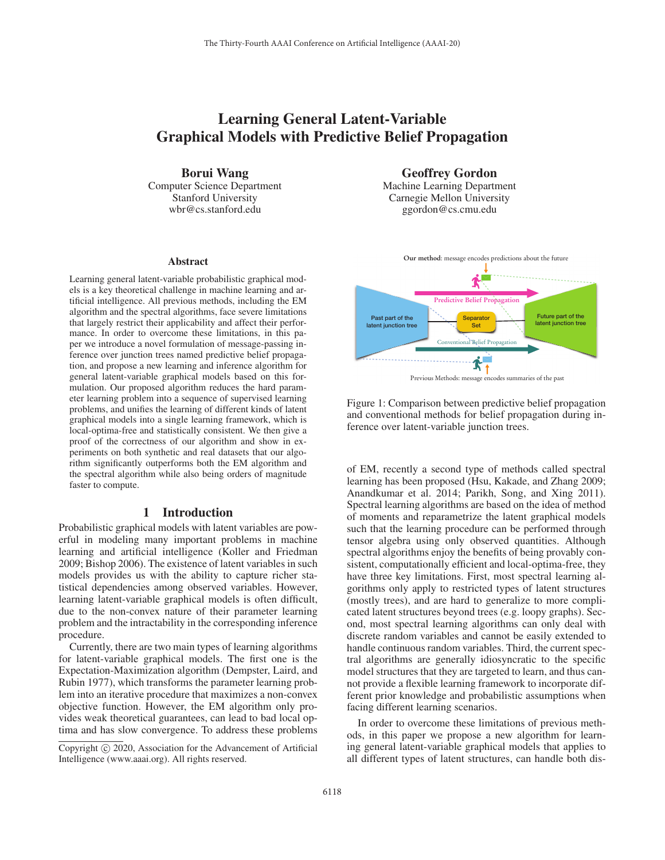# Learning General Latent-Variable Graphical Models with Predictive Belief Propagation

Borui Wang

Computer Science Department Stanford University wbr@cs.stanford.edu

#### Abstract

Learning general latent-variable probabilistic graphical models is a key theoretical challenge in machine learning and artificial intelligence. All previous methods, including the EM algorithm and the spectral algorithms, face severe limitations that largely restrict their applicability and affect their performance. In order to overcome these limitations, in this paper we introduce a novel formulation of message-passing inference over junction trees named predictive belief propagation, and propose a new learning and inference algorithm for general latent-variable graphical models based on this formulation. Our proposed algorithm reduces the hard parameter learning problem into a sequence of supervised learning problems, and unifies the learning of different kinds of latent graphical models into a single learning framework, which is local-optima-free and statistically consistent. We then give a proof of the correctness of our algorithm and show in experiments on both synthetic and real datasets that our algorithm significantly outperforms both the EM algorithm and the spectral algorithm while also being orders of magnitude faster to compute.

#### 1 Introduction

Probabilistic graphical models with latent variables are powerful in modeling many important problems in machine learning and artificial intelligence (Koller and Friedman 2009; Bishop 2006). The existence of latent variables in such models provides us with the ability to capture richer statistical dependencies among observed variables. However, learning latent-variable graphical models is often difficult, due to the non-convex nature of their parameter learning problem and the intractability in the corresponding inference procedure.

Currently, there are two main types of learning algorithms for latent-variable graphical models. The first one is the Expectation-Maximization algorithm (Dempster, Laird, and Rubin 1977), which transforms the parameter learning problem into an iterative procedure that maximizes a non-convex objective function. However, the EM algorithm only provides weak theoretical guarantees, can lead to bad local optima and has slow convergence. To address these problems

Geoffrey Gordon

Machine Learning Department Carnegie Mellon University ggordon@cs.cmu.edu



Figure 1: Comparison between predictive belief propagation and conventional methods for belief propagation during inference over latent-variable junction trees.

of EM, recently a second type of methods called spectral learning has been proposed (Hsu, Kakade, and Zhang 2009; Anandkumar et al. 2014; Parikh, Song, and Xing 2011). Spectral learning algorithms are based on the idea of method of moments and reparametrize the latent graphical models such that the learning procedure can be performed through tensor algebra using only observed quantities. Although spectral algorithms enjoy the benefits of being provably consistent, computationally efficient and local-optima-free, they have three key limitations. First, most spectral learning algorithms only apply to restricted types of latent structures (mostly trees), and are hard to generalize to more complicated latent structures beyond trees (e.g. loopy graphs). Second, most spectral learning algorithms can only deal with discrete random variables and cannot be easily extended to handle continuous random variables. Third, the current spectral algorithms are generally idiosyncratic to the specific model structures that they are targeted to learn, and thus cannot provide a flexible learning framework to incorporate different prior knowledge and probabilistic assumptions when facing different learning scenarios.

In order to overcome these limitations of previous methods, in this paper we propose a new algorithm for learning general latent-variable graphical models that applies to all different types of latent structures, can handle both dis-

Copyright  $\odot$  2020, Association for the Advancement of Artificial Intelligence (www.aaai.org). All rights reserved.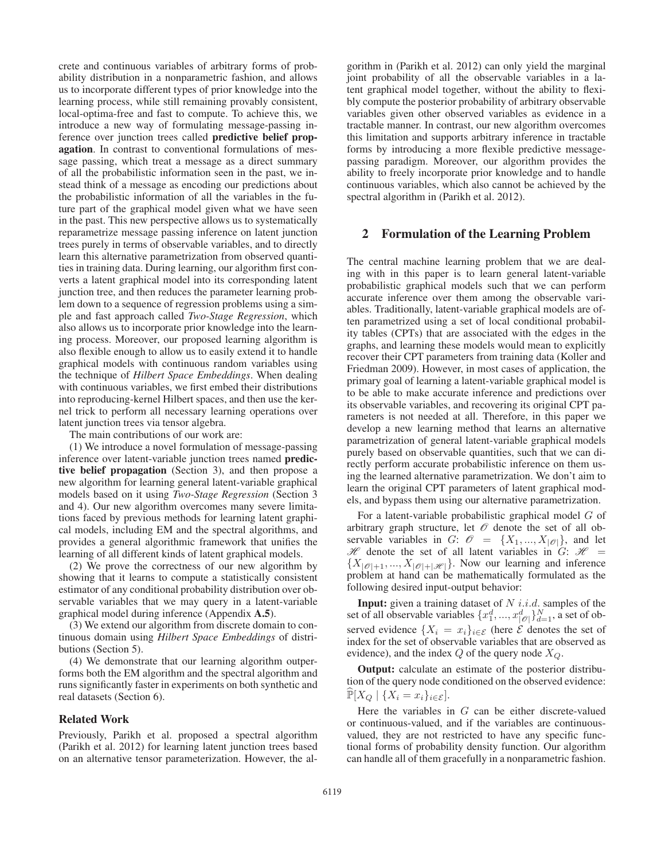crete and continuous variables of arbitrary forms of probability distribution in a nonparametric fashion, and allows us to incorporate different types of prior knowledge into the learning process, while still remaining provably consistent, local-optima-free and fast to compute. To achieve this, we introduce a new way of formulating message-passing inference over junction trees called predictive belief propagation. In contrast to conventional formulations of message passing, which treat a message as a direct summary of all the probabilistic information seen in the past, we instead think of a message as encoding our predictions about the probabilistic information of all the variables in the future part of the graphical model given what we have seen in the past. This new perspective allows us to systematically reparametrize message passing inference on latent junction trees purely in terms of observable variables, and to directly learn this alternative parametrization from observed quantities in training data. During learning, our algorithm first converts a latent graphical model into its corresponding latent junction tree, and then reduces the parameter learning problem down to a sequence of regression problems using a simple and fast approach called *Two-Stage Regression*, which also allows us to incorporate prior knowledge into the learning process. Moreover, our proposed learning algorithm is also flexible enough to allow us to easily extend it to handle graphical models with continuous random variables using the technique of *Hilbert Space Embeddings*. When dealing with continuous variables, we first embed their distributions into reproducing-kernel Hilbert spaces, and then use the kernel trick to perform all necessary learning operations over latent junction trees via tensor algebra.

The main contributions of our work are:

(1) We introduce a novel formulation of message-passing inference over latent-variable junction trees named predictive belief propagation (Section 3), and then propose a new algorithm for learning general latent-variable graphical models based on it using *Two-Stage Regression* (Section 3 and 4). Our new algorithm overcomes many severe limitations faced by previous methods for learning latent graphical models, including EM and the spectral algorithms, and provides a general algorithmic framework that unifies the learning of all different kinds of latent graphical models.

(2) We prove the correctness of our new algorithm by showing that it learns to compute a statistically consistent estimator of any conditional probability distribution over observable variables that we may query in a latent-variable graphical model during inference (Appendix A.5).

(3) We extend our algorithm from discrete domain to continuous domain using *Hilbert Space Embeddings* of distributions (Section 5).

(4) We demonstrate that our learning algorithm outperforms both the EM algorithm and the spectral algorithm and runs significantly faster in experiments on both synthetic and real datasets (Section 6).

## Related Work

Previously, Parikh et al. proposed a spectral algorithm (Parikh et al. 2012) for learning latent junction trees based on an alternative tensor parameterization. However, the al-

gorithm in (Parikh et al. 2012) can only yield the marginal joint probability of all the observable variables in a latent graphical model together, without the ability to flexibly compute the posterior probability of arbitrary observable variables given other observed variables as evidence in a tractable manner. In contrast, our new algorithm overcomes this limitation and supports arbitrary inference in tractable forms by introducing a more flexible predictive messagepassing paradigm. Moreover, our algorithm provides the ability to freely incorporate prior knowledge and to handle continuous variables, which also cannot be achieved by the spectral algorithm in (Parikh et al. 2012).

#### 2 Formulation of the Learning Problem

The central machine learning problem that we are dealing with in this paper is to learn general latent-variable probabilistic graphical models such that we can perform accurate inference over them among the observable variables. Traditionally, latent-variable graphical models are often parametrized using a set of local conditional probability tables (CPTs) that are associated with the edges in the graphs, and learning these models would mean to explicitly recover their CPT parameters from training data (Koller and Friedman 2009). However, in most cases of application, the primary goal of learning a latent-variable graphical model is to be able to make accurate inference and predictions over its observable variables, and recovering its original CPT parameters is not needed at all. Therefore, in this paper we develop a new learning method that learns an alternative parametrization of general latent-variable graphical models purely based on observable quantities, such that we can directly perform accurate probabilistic inference on them using the learned alternative parametrization. We don't aim to learn the original CPT parameters of latent graphical models, and bypass them using our alternative parametrization.

For a latent-variable probabilistic graphical model G of arbitrary graph structure, let  $\mathcal O$  denote the set of all observable variables in G:  $\mathcal{O} = \{X_1, ..., X_{|\mathcal{O}|}\}\$ , and let  $\mathcal H$  denote the set of all latent variables in G:  $\mathcal H$  =  $\{X_{|\mathcal{O}|+1},...,X_{|\mathcal{O}|+|\mathcal{H}|}\}.$  Now our learning and inference problem at hand can be mathematically formulated as the following desired input-output behavior:

**Input:** given a training dataset of  $N$  i.i.d. samples of the set of all observable variables  $\{x_1^d, ..., x_{|\mathscr{O}|}^d\}_{d=1}^N$ , a set of observed evidence  $\{X_i = x_i\}_{i \in \mathcal{E}}$  (here  $\mathcal{E}$  denotes the set of index for the set of observable variables that are observed as evidence), and the index  $Q$  of the query node  $X_Q$ .

Output: calculate an estimate of the posterior distribution of the query node conditioned on the observed evidence:  $\widehat{\mathbb{P}}[X_Q \mid \{X_i = x_i\}_{i \in \mathcal{E}}].$ 

Here the variables in  $G$  can be either discrete-valued or continuous-valued, and if the variables are continuousvalued, they are not restricted to have any specific functional forms of probability density function. Our algorithm can handle all of them gracefully in a nonparametric fashion.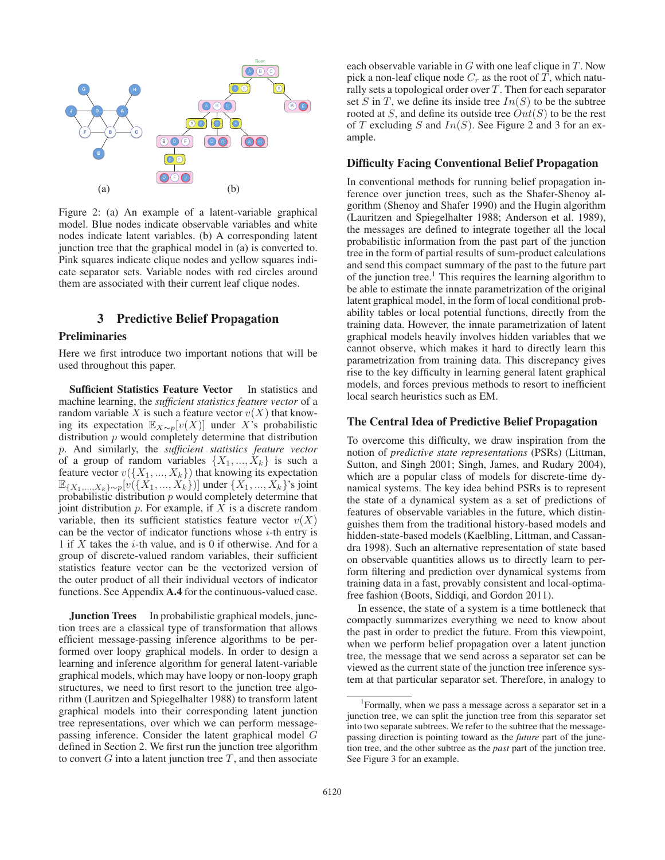

Figure 2: (a) An example of a latent-variable graphical model. Blue nodes indicate observable variables and white nodes indicate latent variables. (b) A corresponding latent junction tree that the graphical model in (a) is converted to. Pink squares indicate clique nodes and yellow squares indicate separator sets. Variable nodes with red circles around them are associated with their current leaf clique nodes.

## 3 Predictive Belief Propagation

## Preliminaries

Here we first introduce two important notions that will be used throughout this paper.

Sufficient Statistics Feature Vector In statistics and machine learning, the *sufficient statistics feature vector* of a random variable X is such a feature vector  $v(X)$  that knowing its expectation  $\mathbb{E}_{X \sim p}[v(X)]$  under X's probabilistic distribution  $p$  would completely determine that distribution p. And similarly, the *sufficient statistics feature vector* of a group of random variables  $\{X_1, ..., X_k\}$  is such a feature vector  $v({X_1, ..., X_k})$  that knowing its expectation  $\mathbb{E}_{\{X_1,...,X_k\}\sim p}[v(\{X_1,...,X_k\})]$  under  $\{X_1,...,X_k\}$ 's joint probabilistic distribution  $p$  would completely determine that joint distribution  $p$ . For example, if  $X$  is a discrete random variable, then its sufficient statistics feature vector  $v(X)$ can be the vector of indicator functions whose  $i$ -th entry is 1 if  $X$  takes the *i*-th value, and is 0 if otherwise. And for a group of discrete-valued random variables, their sufficient statistics feature vector can be the vectorized version of the outer product of all their individual vectors of indicator functions. See Appendix A.4 for the continuous-valued case.

**Junction Trees** In probabilistic graphical models, junction trees are a classical type of transformation that allows efficient message-passing inference algorithms to be performed over loopy graphical models. In order to design a learning and inference algorithm for general latent-variable graphical models, which may have loopy or non-loopy graph structures, we need to first resort to the junction tree algorithm (Lauritzen and Spiegelhalter 1988) to transform latent graphical models into their corresponding latent junction tree representations, over which we can perform messagepassing inference. Consider the latent graphical model G defined in Section 2. We first run the junction tree algorithm to convert  $G$  into a latent junction tree  $T$ , and then associate

each observable variable in  $G$  with one leaf clique in  $T$ . Now pick a non-leaf clique node  $C_r$  as the root of T, which naturally sets a topological order over  $T$ . Then for each separator set S in T, we define its inside tree  $In(S)$  to be the subtree rooted at S, and define its outside tree  $Out(S)$  to be the rest of T excluding S and  $In(S)$ . See Figure 2 and 3 for an example.

#### Difficulty Facing Conventional Belief Propagation

In conventional methods for running belief propagation inference over junction trees, such as the Shafer-Shenoy algorithm (Shenoy and Shafer 1990) and the Hugin algorithm (Lauritzen and Spiegelhalter 1988; Anderson et al. 1989), the messages are defined to integrate together all the local probabilistic information from the past part of the junction tree in the form of partial results of sum-product calculations and send this compact summary of the past to the future part of the junction tree.<sup>1</sup> This requires the learning algorithm to be able to estimate the innate parametrization of the original latent graphical model, in the form of local conditional probability tables or local potential functions, directly from the training data. However, the innate parametrization of latent graphical models heavily involves hidden variables that we cannot observe, which makes it hard to directly learn this parametrization from training data. This discrepancy gives rise to the key difficulty in learning general latent graphical models, and forces previous methods to resort to inefficient local search heuristics such as EM.

#### The Central Idea of Predictive Belief Propagation

To overcome this difficulty, we draw inspiration from the notion of *predictive state representations* (PSRs) (Littman, Sutton, and Singh 2001; Singh, James, and Rudary 2004), which are a popular class of models for discrete-time dynamical systems. The key idea behind PSRs is to represent the state of a dynamical system as a set of predictions of features of observable variables in the future, which distinguishes them from the traditional history-based models and hidden-state-based models (Kaelbling, Littman, and Cassandra 1998). Such an alternative representation of state based on observable quantities allows us to directly learn to perform filtering and prediction over dynamical systems from training data in a fast, provably consistent and local-optimafree fashion (Boots, Siddiqi, and Gordon 2011).

In essence, the state of a system is a time bottleneck that compactly summarizes everything we need to know about the past in order to predict the future. From this viewpoint, when we perform belief propagation over a latent junction tree, the message that we send across a separator set can be viewed as the current state of the junction tree inference system at that particular separator set. Therefore, in analogy to

<sup>&</sup>lt;sup>1</sup>Formally, when we pass a message across a separator set in a junction tree, we can split the junction tree from this separator set into two separate subtrees. We refer to the subtree that the messagepassing direction is pointing toward as the *future* part of the junction tree, and the other subtree as the *past* part of the junction tree. See Figure 3 for an example.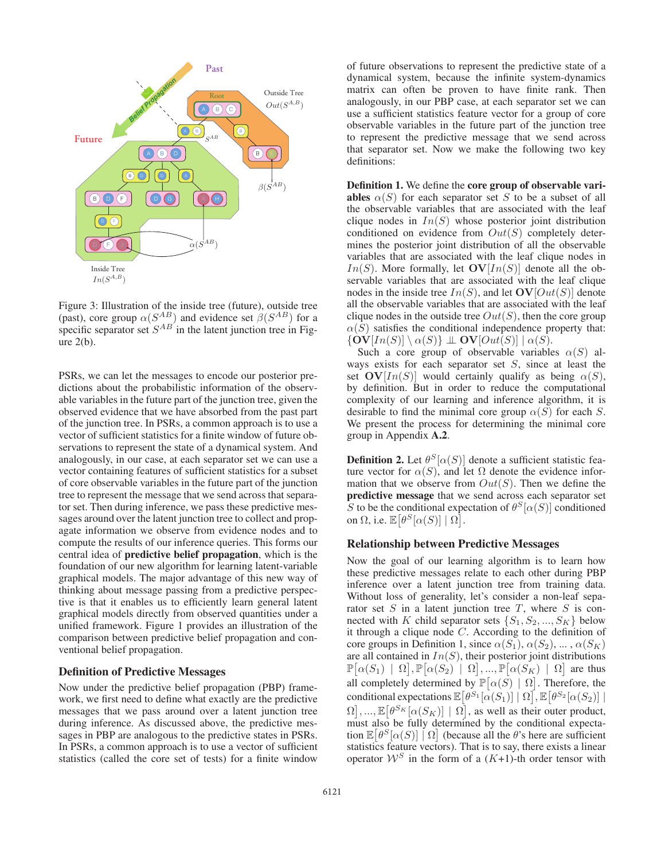

Figure 3: Illustration of the inside tree (future), outside tree (past), core group  $\alpha(S^{AB})$  and evidence set  $\beta(S^{AB})$  for a specific separator set  $S^{AB}$  in the latent junction tree in Figure 2(b).

PSRs, we can let the messages to encode our posterior predictions about the probabilistic information of the observable variables in the future part of the junction tree, given the observed evidence that we have absorbed from the past part of the junction tree. In PSRs, a common approach is to use a vector of sufficient statistics for a finite window of future observations to represent the state of a dynamical system. And analogously, in our case, at each separator set we can use a vector containing features of sufficient statistics for a subset of core observable variables in the future part of the junction tree to represent the message that we send across that separator set. Then during inference, we pass these predictive messages around over the latent junction tree to collect and propagate information we observe from evidence nodes and to compute the results of our inference queries. This forms our central idea of predictive belief propagation, which is the foundation of our new algorithm for learning latent-variable graphical models. The major advantage of this new way of thinking about message passing from a predictive perspective is that it enables us to efficiently learn general latent graphical models directly from observed quantities under a unified framework. Figure 1 provides an illustration of the comparison between predictive belief propagation and conventional belief propagation.

## Definition of Predictive Messages

Now under the predictive belief propagation (PBP) framework, we first need to define what exactly are the predictive messages that we pass around over a latent junction tree during inference. As discussed above, the predictive messages in PBP are analogous to the predictive states in PSRs. In PSRs, a common approach is to use a vector of sufficient statistics (called the core set of tests) for a finite window

of future observations to represent the predictive state of a dynamical system, because the infinite system-dynamics matrix can often be proven to have finite rank. Then analogously, in our PBP case, at each separator set we can use a sufficient statistics feature vector for a group of core observable variables in the future part of the junction tree to represent the predictive message that we send across that separator set. Now we make the following two key definitions:

Definition 1. We define the core group of observable variables  $\alpha(S)$  for each separator set S to be a subset of all the observable variables that are associated with the leaf clique nodes in  $In(S)$  whose posterior joint distribution conditioned on evidence from  $Out(S)$  completely determines the posterior joint distribution of all the observable variables that are associated with the leaf clique nodes in  $In(S)$ . More formally, let  $\mathbf{OV}[In(S)]$  denote all the observable variables that are associated with the leaf clique nodes in the inside tree  $In(S)$ , and let  $\mathbf{O}V[Out(S)]$  denote all the observable variables that are associated with the leaf clique nodes in the outside tree  $Out(S)$ , then the core group  $\alpha(S)$  satisfies the conditional independence property that:  ${\bf OV}[In(S)] \setminus \alpha(S) {\bf \perp QV}[Out(S)] \mid \alpha(S)$ .

Such a core group of observable variables  $\alpha(S)$  always exists for each separator set  $S$ , since at least the set  $\mathbf{O}V[In(S)]$  would certainly qualify as being  $\alpha(S)$ , by definition. But in order to reduce the computational complexity of our learning and inference algorithm, it is desirable to find the minimal core group  $\alpha(S)$  for each S. We present the process for determining the minimal core group in Appendix A.2.

**Definition 2.** Let  $\theta^S[\alpha(S)]$  denote a sufficient statistic feature vector for  $\alpha(S)$ , and let  $\Omega$  denote the evidence information that we observe from  $Out(S)$ . Then we define the predictive message that we send across each separator set S to be the conditional expectation of  $\theta^S[\alpha(S)]$  conditioned on  $\Omega$ , i.e.  $\mathbb{E}[\theta^S[\alpha(S)] | \Omega].$ 

## Relationship between Predictive Messages

Now the goal of our learning algorithm is to learn how these predictive messages relate to each other during PBP inference over a latent junction tree from training data. Without loss of generality, let's consider a non-leaf separator set  $S$  in a latent junction tree  $T$ , where  $S$  is connected with K child separator sets  $\{S_1, S_2, ..., S_K\}$  below it through a clique node C. According to the definition of core groups in Definition 1, since  $\alpha(S_1)$ ,  $\alpha(S_2)$ , ...,  $\alpha(S_K)$ are all contained in  $In(S)$ , their posterior joint distributions  $\mathbb{P}[\alpha(S_1) | \Omega], \mathbb{P}[\alpha(S_2) | \Omega], ..., \mathbb{P}[\alpha(S_K) | \Omega]$  are thus all completely determined by  $\mathbb{P}[\alpha(\hat{S}) | \Omega]$ . Therefore, the conditional expectations  $\mathbb{E}\big[\theta^{S_1}[\alpha(S_1)] \mid \Omega\big], \mathbb{E}\big[\theta^{S_2}[\alpha(S_2)]\mid$  $\Omega$ , ...,  $\mathbb{E}[\theta^{S_K}[\alpha(S_K)] | \Omega]$ , as well as their outer product, must also be fully determined by the conditional expectation  $\mathbb{E}[\theta^{S}[\alpha(S)] \mid \Omega]$  (because all the  $\theta$ 's here are sufficient statistics feature vectors). That is to say, there exists a linear operator  $W^S$  in the form of a  $(K+1)$ -th order tensor with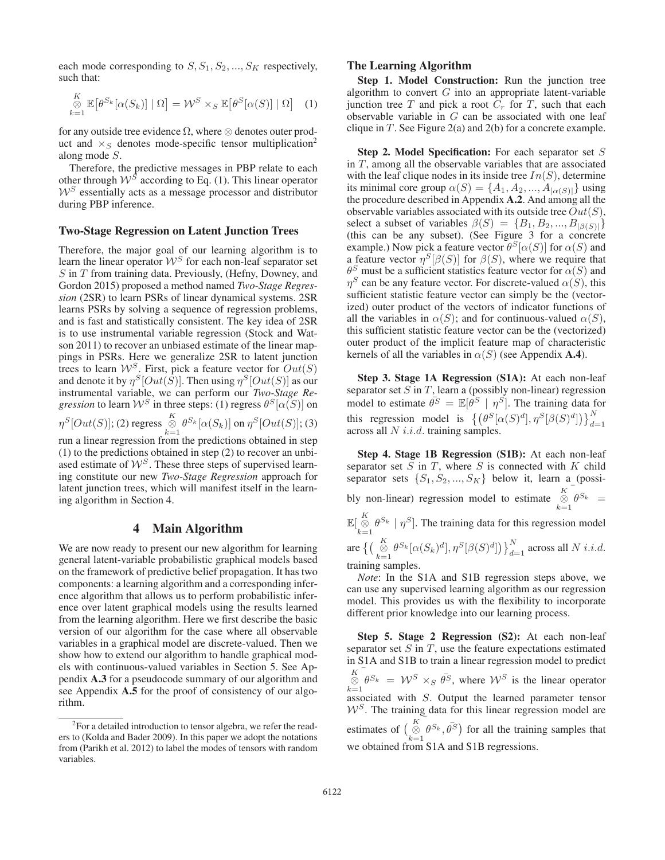each mode corresponding to  $S, S_1, S_2, ..., S_K$  respectively, such that:

$$
\underset{k=1}{\overset{K}{\otimes}} \mathbb{E}\left[\theta^{S_k}[\alpha(S_k)] \mid \Omega\right] = \mathcal{W}^S \times_S \mathbb{E}\left[\theta^S[\alpha(S)] \mid \Omega\right] \tag{1}
$$

for any outside tree evidence  $\Omega$ , where  $\otimes$  denotes outer product and  $\times_S$  denotes mode-specific tensor multiplication<sup>2</sup> along mode S.

Therefore, the predictive messages in PBP relate to each other through  $W^S$  according to Eq. (1). This linear operator  $W<sup>S</sup>$  essentially acts as a message processor and distributor during PBP inference.

#### Two-Stage Regression on Latent Junction Trees

Therefore, the major goal of our learning algorithm is to learn the linear operator  $W^S$  for each non-leaf separator set  $S$  in  $T$  from training data. Previously, (Hefny, Downey, and Gordon 2015) proposed a method named *Two-Stage Regression* (2SR) to learn PSRs of linear dynamical systems. 2SR learns PSRs by solving a sequence of regression problems, and is fast and statistically consistent. The key idea of 2SR is to use instrumental variable regression (Stock and Watson 2011) to recover an unbiased estimate of the linear mappings in PSRs. Here we generalize 2SR to latent junction trees to learn  $W^S$ . First, pick a feature vector for  $Out(S)$ and denote it by  $\eta^S[Out(S)]$ . Then using  $\eta^S[Out(S)]$  as our instrumental variable, we can perform our *Two-Stage Regression* to learn  $W^S$  in three steps: (1) regress  $\theta^S[\alpha(S)]$  on

$$
\eta^S[Out(S)]; (2) \text{ regress} \underset{k=1}{\overset{K}{\otimes}} \theta^{S_k}[\alpha(S_k)] \text{ on } \eta^S[Out(S)]; (3)
$$
  
run a linear regression from the predictions obtained in step

(1) to the predictions obtained in step (2) to recover an unbiased estimate of  $W^S$ . These three steps of supervised learning constitute our new *Two-Stage Regression* approach for latent junction trees, which will manifest itself in the learning algorithm in Section 4.

### 4 Main Algorithm

We are now ready to present our new algorithm for learning general latent-variable probabilistic graphical models based on the framework of predictive belief propagation. It has two components: a learning algorithm and a corresponding inference algorithm that allows us to perform probabilistic inference over latent graphical models using the results learned from the learning algorithm. Here we first describe the basic version of our algorithm for the case where all observable variables in a graphical model are discrete-valued. Then we show how to extend our algorithm to handle graphical models with continuous-valued variables in Section 5. See Appendix A.3 for a pseudocode summary of our algorithm and see Appendix A.5 for the proof of consistency of our algorithm.

## The Learning Algorithm

Step 1. Model Construction: Run the junction tree algorithm to convert  $G$  into an appropriate latent-variable junction tree T and pick a root  $C_r$  for T, such that each observable variable in  $G$  can be associated with one leaf clique in  $T$ . See Figure 2(a) and 2(b) for a concrete example.

Step 2. Model Specification: For each separator set S in T, among all the observable variables that are associated with the leaf clique nodes in its inside tree  $In(S)$ , determine its minimal core group  $\alpha(S) = \{A_1, A_2, ..., A_{|\alpha(S)|}\}\$ using the procedure described in Appendix A.2. And among all the observable variables associated with its outside tree  $Out(S)$ , select a subset of variables  $\beta(S) = \{B_1, B_2, ..., B_{|\beta(S)|}\}\$ (this can be any subset). (See Figure 3 for a concrete example.) Now pick a feature vector  $\theta^S[\alpha(S)]$  for  $\alpha(S)$  and a feature vector  $\eta^{S}[\beta(S)]$  for  $\beta(S)$ , where we require that  $\theta^S$  must be a sufficient statistics feature vector for  $\alpha(S)$  and  $\eta^S$  can be any feature vector. For discrete-valued  $\alpha(S)$ , this sufficient statistic feature vector can simply be the (vectorized) outer product of the vectors of indicator functions of all the variables in  $\alpha(S)$ ; and for continuous-valued  $\alpha(S)$ , this sufficient statistic feature vector can be the (vectorized) outer product of the implicit feature map of characteristic kernels of all the variables in  $\alpha(S)$  (see Appendix A.4).

Step 3. Stage 1A Regression (S1A): At each non-leaf separator set  $S$  in  $T$ , learn a (possibly non-linear) regression model to estimate  $\bar{\theta}^S = \mathbb{E}[\vec{\theta}^S \mid \eta^S]$ . The training data for this regression model is  $\{(\theta^S[\alpha(S)^d], \eta^S[\beta(S)^d])\}_{d=1}^N$  across all N *i.i.d.* training samples.

Step 4. Stage 1B Regression (S1B): At each non-leaf separator set  $S$  in  $T$ , where  $S$  is connected with  $K$  child separator sets  $\{S_1, S_2, ..., S_K\}$  below it, learn a (possibly non-linear) regression model to estimate  $\bigotimes_{k=1}^{K} \theta^{S_k} =$  $\mathbb{E}[\overset{K}{\otimes} \theta^{S_k} | \eta^S].$  The training data for this regression model <sup>7</sup> $k=1$ <br>are  $\left\{ \left( \bigotimes_{k=1}^K \theta^{S_k} [\alpha(S_k)^d], \eta^S[\beta(S)^d] \right) \right\}_{d=1}^N$  across all N i.i.d. training samples.

*Note*: In the S1A and S1B regression steps above, we can use any supervised learning algorithm as our regression model. This provides us with the flexibility to incorporate different prior knowledge into our learning process.

Step 5. Stage 2 Regression (S2): At each non-leaf separator set  $S$  in  $T$ , use the feature expectations estimated in S1A and S1B to train a linear regression model to predict  $K \begin{bmatrix} K \\ \otimes \end{bmatrix} \theta^{S_k} = \mathcal{W}^S \times_S \bar{\theta}^S$ , where  $\mathcal{W}^S$  is the linear operator associated with S. Output the learned parameter tensor  $W<sup>S</sup>$ . The training data for this linear regression model are estimates of  $\begin{pmatrix} K \\ \bigotimes \epsilon \\ k=1 \end{pmatrix}$   $\theta^{S_k}, \bar{\theta^{S}}$  for all the training samples that we obtained from S1A and S1B regressions.

<sup>&</sup>lt;sup>2</sup>For a detailed introduction to tensor algebra, we refer the readers to (Kolda and Bader 2009). In this paper we adopt the notations from (Parikh et al. 2012) to label the modes of tensors with random variables.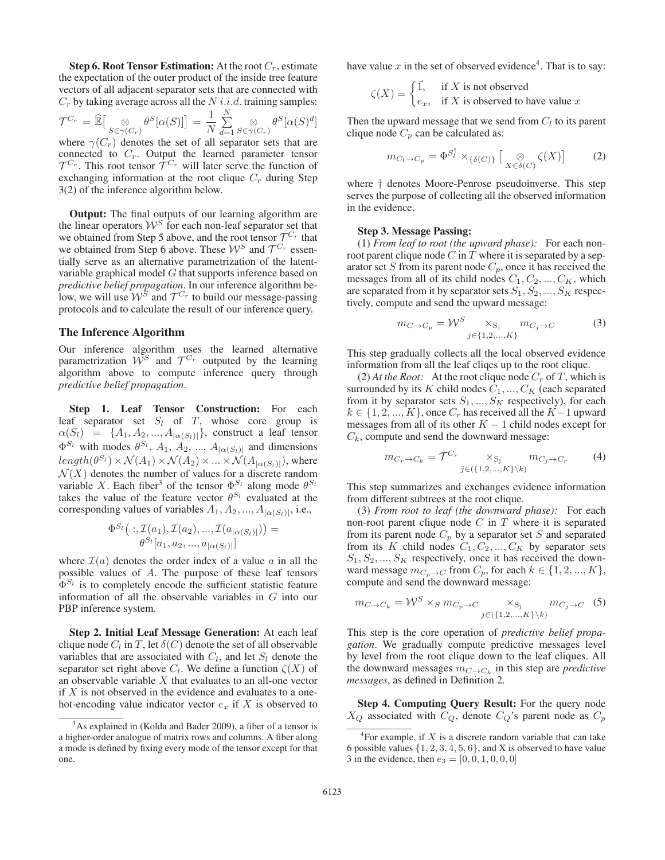**Step 6. Root Tensor Estimation:** At the root  $C_r$ , estimate the expectation of the outer product of the inside tree feature vectors of all adjacent separator sets that are connected with  $C_r$  by taking average across all the  $N$  i.i.d. training samples:

$$
\mathcal{T}^{C_r} = \widehat{\mathbb{E}}\Big[\underset{S \in \gamma(C_r)}{\otimes} \theta^S[\alpha(S)]\Big] = \frac{1}{N} \sum_{d=1}^N \underset{S \in \gamma(C_r)}{\otimes} \theta^S[\alpha(S)^d]
$$

where  $\gamma(C_r)$  denotes the set of all separator sets that are connected to  $C_r$ . Output the learned parameter tensor  $\mathcal{T}^{C_r}$ . This root tensor  $\mathcal{T}^{C_r}$  will later serve the function of exchanging information at the root clique  $C_r$  during Step 3(2) of the inference algorithm below.

Output: The final outputs of our learning algorithm are the linear operators  $W^S$  for each non-leaf separator set that we obtained from Step 5 above, and the root tensor  $\mathcal{T}^{C_r}$  that we obtained from Step 6 above. These  $W^S$  and  $\mathcal{T}^{C_r}$  essentially serve as an alternative parametrization of the latentvariable graphical model G that supports inference based on *predictive belief propagation*. In our inference algorithm below, we will use  $W^{\hat{S}}$  and  $\mathcal{T}^{C_r}$  to build our message-passing protocols and to calculate the result of our inference query.

#### The Inference Algorithm

Our inference algorithm uses the learned alternative parametrization  $W^S$  and  $\mathcal{T}^{C_r}$  outputed by the learning algorithm above to compute inference query through *predictive belief propagation*.

Step 1. Leaf Tensor Construction: For each leaf separator set  $S_l$  of  $T$ , whose core group is  $\alpha(S_l) = \{A_1, A_2, ..., A_{|\alpha(S_l)|}\}\$ , construct a leaf tensor  $\Phi^{S_l}$  with modes  $\theta^{S_l}$ ,  $A_1$ ,  $A_2$ , ...,  $A_{\alpha(S_l)}$  and dimensions  $length(\theta^{S_l}) \times \mathcal{N}(A_1) \times \mathcal{N}(A_2) \times ... \times \mathcal{N}(A_{|\alpha(S_l)|})$ , where  $\mathcal{N}(X)$  denotes the number of values for a discrete random variable X. Each fiber<sup>3</sup> of the tensor  $\Phi^{S_l}$  along mode  $\theta^{S_l}$ takes the value of the feature vector  $\theta^{S_l}$  evaluated at the corresponding values of variables  $A_1, A_2, ..., A_{|\alpha(S_l)|}$ , i.e.,

$$
\Phi^{S_l} \big(:, \mathcal{I}(a_1), \mathcal{I}(a_2), ..., \mathcal{I}(a_{|\alpha(S_l)|}) \big) = \\ \theta^{S_l}[a_1, a_2, ..., a_{|\alpha(S_l)|}]
$$

where  $\mathcal{I}(a)$  denotes the order index of a value a in all the possible values of A. The purpose of these leaf tensors  $\Phi^{S_l}$  is to completely encode the sufficient statistic feature information of all the observable variables in G into our PBP inference system.

Step 2. Initial Leaf Message Generation: At each leaf clique node  $C_l$  in T, let  $\delta(C)$  denote the set of all observable variables that are associated with  $C_l$ , and let  $S_l$  denote the separator set right above  $C_l$ . We define a function  $\zeta(X)$  of an observable variable  $X$  that evaluates to an all-one vector if  $X$  is not observed in the evidence and evaluates to a onehot-encoding value indicator vector  $e_x$  if X is observed to have value  $x$  in the set of observed evidence<sup>4</sup>. That is to say:

$$
\zeta(X) = \begin{cases} \vec{1}, & \text{if } X \text{ is not observed} \\ e_x, & \text{if } X \text{ is observed to have value } x \end{cases}
$$

Then the upward message that we send from  $C_l$  to its parent clique node  $C_p$  can be calculated as:

$$
m_{C_l \to C_p} = \Phi^{S_l^{\dagger}} \times_{\{\delta(C)\}} \left[ \underset{X \in \delta(C)}{\otimes} \zeta(X) \right] \tag{2}
$$

where † denotes Moore-Penrose pseudoinverse. This step serves the purpose of collecting all the observed information in the evidence.

## Step 3. Message Passing:

(1) *From leaf to root (the upward phase):* For each nonroot parent clique node  $C$  in  $T$  where it is separated by a separator set S from its parent node  $C_p$ , once it has received the messages from all of its child nodes  $C_1, C_2, ..., C_K$ , which are separated from it by separator sets  $S_1, S_2, ..., S_K$  respectively, compute and send the upward message:

$$
m_{C \to C_p} = \mathcal{W}^S \underset{j \in \{1, 2, \dots, K\}}{\times_{S_j}} m_{C_j \to C}
$$
 (3)

This step gradually collects all the local observed evidence information from all the leaf cliqes up to the root clique.

(2) At the Root: At the root clique node  $C_r$  of T, which is surrounded by its K child nodes  $C_1, ..., C_K$  (each separated from it by separator sets  $S_1, ..., S_K$  respectively), for each  $k \in \{1, 2, ..., K\}$ , once  $C_r$  has received all the  $K-1$  upward messages from all of its other  $K - 1$  child nodes except for  $C_k$ , compute and send the downward message:

$$
m_{C_r \to C_k} = \mathcal{T}^{C_r} \times_{\mathcal{S}_j} m_{C_j \to C_r}
$$
 (4)

This step summarizes and exchanges evidence information from different subtrees at the root clique.

(3) *From root to leaf (the downward phase):* For each non-root parent clique node  $C$  in  $T$  where it is separated from its parent node  $C_p$  by a separator set S and separated from its K child nodes  $C_1, C_2, ..., C_K$  by separator sets  $S_1, S_2, ..., S_K$  respectively, once it has received the downward message  $m_{C_p \to C}$  from  $C_p$ , for each  $k \in \{1, 2, ..., K\}$ , compute and send the downward message:

$$
m_{C \to C_k} = \mathcal{W}^S \times_S m_{C_p \to C} \underset{j \in (\{1, 2, ..., K\} \setminus k)}{\times_{S_j}} m_{C_j \to C} \quad (5)
$$

This step is the core operation of *predictive belief propagation*. We gradually compute predictive messages level by level from the root clique down to the leaf cliques. All the downward messages  $m_{C\to C_k}$  in this step are *predictive messages*, as defined in Definition 2.

Step 4. Computing Query Result: For the query node  $X_Q$  associated with  $C_Q$ , denote  $C_Q$ 's parent node as  $C_p$ 

<sup>&</sup>lt;sup>3</sup>As explained in (Kolda and Bader 2009), a fiber of a tensor is a higher-order analogue of matrix rows and columns. A fiber along a mode is defined by fixing every mode of the tensor except for that one.

<sup>&</sup>lt;sup>4</sup>For example, if  $X$  is a discrete random variable that can take 6 possible values  $\{1, 2, 3, 4, 5, 6\}$ , and X is observed to have value 3 in the evidence, then  $e_3 = [0, 0, 1, 0, 0, 0]$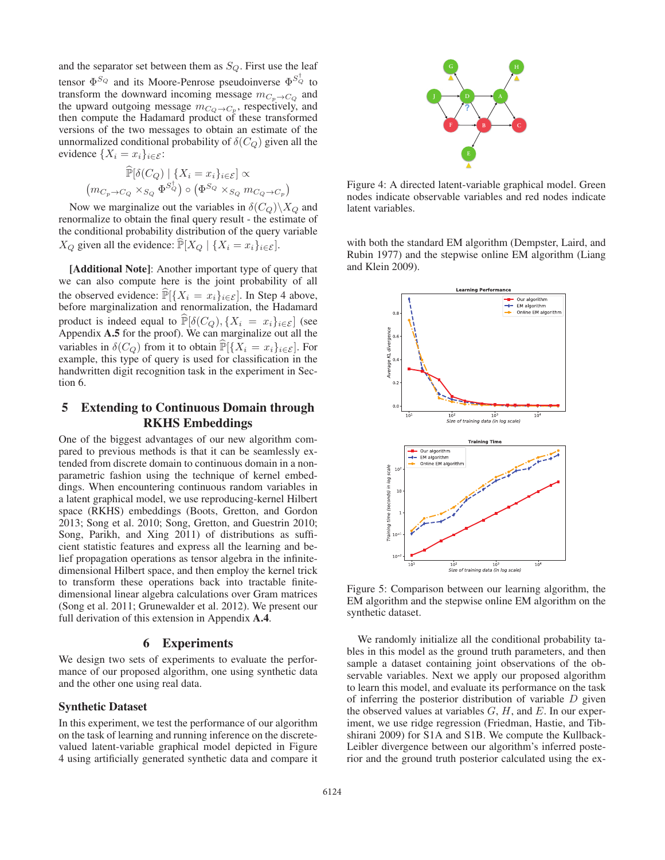and the separator set between them as  $S_Q$ . First use the leaf tensor  $\Phi^{S_Q}$  and its Moore-Penrose pseudoinverse  $\Phi^{S_Q}$  to transform the downward incoming message  $m_{C_p \to C_Q}$  and the upward outgoing message  $m_{C_Q \to C_p}$ , respectively, and then compute the Hadamard product of these transformed versions of the two messages to obtain an estimate of the unnormalized conditional probability of  $\delta(C_Q)$  given all the evidence  $\{X_i = x_i\}_{i \in \mathcal{E}}$ :

$$
\widehat{\mathbb{P}}[\delta(C_Q) \mid \{X_i = x_i\}_{i \in \mathcal{E}}] \propto
$$

$$
(m_{C_p \to C_Q} \times_{S_Q} \Phi^{S_Q^+}) \circ (\Phi^{S_Q} \times_{S_Q} m_{C_Q \to C_p})
$$

Now we marginalize out the variables in  $\delta(C_Q)\backslash X_Q$  and renormalize to obtain the final query result - the estimate of the conditional probability distribution of the query variable  $X_Q$  given all the evidence:  $\widehat{P}[X_Q | \{X_i = x_i\}_{i \in \mathcal{E}}].$ 

[Additional Note]: Another important type of query that we can also compute here is the joint probability of all the observed evidence:  $\widehat{\mathbb{P}}[\{X_i = x_i\}_{i \in \mathcal{E}}]$ . In Step 4 above, before marginalization and renormalization, the Hadamard product is indeed equal to  $\widehat{\mathbb{P}}[\delta(C_Q), \{X_i = x_i\}_{i \in \mathcal{E}}]$  (see Appendix A.5 for the proof). We can marginalize out all the variables in  $\delta(C_Q)$  from it to obtain  $\widehat{P}[\{X_i = x_i\}_{i \in \mathcal{E}}]$ . For example, this type of query is used for classification in the handwritten digit recognition task in the experiment in Section 6.

## 5 Extending to Continuous Domain through RKHS Embeddings

One of the biggest advantages of our new algorithm compared to previous methods is that it can be seamlessly extended from discrete domain to continuous domain in a nonparametric fashion using the technique of kernel embeddings. When encountering continuous random variables in a latent graphical model, we use reproducing-kernel Hilbert space (RKHS) embeddings (Boots, Gretton, and Gordon 2013; Song et al. 2010; Song, Gretton, and Guestrin 2010; Song, Parikh, and Xing 2011) of distributions as sufficient statistic features and express all the learning and belief propagation operations as tensor algebra in the infinitedimensional Hilbert space, and then employ the kernel trick to transform these operations back into tractable finitedimensional linear algebra calculations over Gram matrices (Song et al. 2011; Grunewalder et al. 2012). We present our full derivation of this extension in Appendix A.4.

## 6 Experiments

We design two sets of experiments to evaluate the performance of our proposed algorithm, one using synthetic data and the other one using real data.

## Synthetic Dataset

In this experiment, we test the performance of our algorithm on the task of learning and running inference on the discretevalued latent-variable graphical model depicted in Figure 4 using artificially generated synthetic data and compare it



Figure 4: A directed latent-variable graphical model. Green nodes indicate observable variables and red nodes indicate latent variables.

with both the standard EM algorithm (Dempster, Laird, and Rubin 1977) and the stepwise online EM algorithm (Liang and Klein 2009).



Figure 5: Comparison between our learning algorithm, the EM algorithm and the stepwise online EM algorithm on the synthetic dataset.

We randomly initialize all the conditional probability tables in this model as the ground truth parameters, and then sample a dataset containing joint observations of the observable variables. Next we apply our proposed algorithm to learn this model, and evaluate its performance on the task of inferring the posterior distribution of variable  $D$  given the observed values at variables  $G$ ,  $H$ , and  $E$ . In our experiment, we use ridge regression (Friedman, Hastie, and Tibshirani 2009) for S1A and S1B. We compute the Kullback-Leibler divergence between our algorithm's inferred posterior and the ground truth posterior calculated using the ex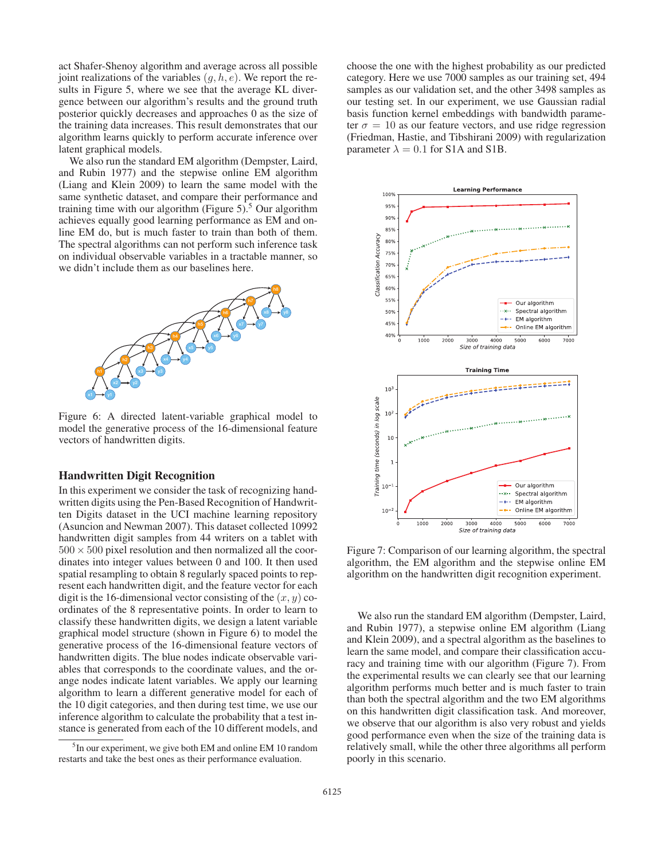act Shafer-Shenoy algorithm and average across all possible joint realizations of the variables  $(g, h, e)$ . We report the results in Figure 5, where we see that the average KL divergence between our algorithm's results and the ground truth posterior quickly decreases and approaches 0 as the size of the training data increases. This result demonstrates that our algorithm learns quickly to perform accurate inference over latent graphical models.

We also run the standard EM algorithm (Dempster, Laird, and Rubin 1977) and the stepwise online EM algorithm (Liang and Klein 2009) to learn the same model with the same synthetic dataset, and compare their performance and training time with our algorithm (Figure 5).<sup>5</sup> Our algorithm achieves equally good learning performance as EM and online EM do, but is much faster to train than both of them. The spectral algorithms can not perform such inference task on individual observable variables in a tractable manner, so we didn't include them as our baselines here.



Figure 6: A directed latent-variable graphical model to model the generative process of the 16-dimensional feature vectors of handwritten digits.

#### Handwritten Digit Recognition

In this experiment we consider the task of recognizing handwritten digits using the Pen-Based Recognition of Handwritten Digits dataset in the UCI machine learning repository (Asuncion and Newman 2007). This dataset collected 10992 handwritten digit samples from 44 writers on a tablet with  $500 \times 500$  pixel resolution and then normalized all the coordinates into integer values between 0 and 100. It then used spatial resampling to obtain 8 regularly spaced points to represent each handwritten digit, and the feature vector for each digit is the 16-dimensional vector consisting of the  $(x, y)$  coordinates of the 8 representative points. In order to learn to classify these handwritten digits, we design a latent variable graphical model structure (shown in Figure 6) to model the generative process of the 16-dimensional feature vectors of handwritten digits. The blue nodes indicate observable variables that corresponds to the coordinate values, and the orange nodes indicate latent variables. We apply our learning algorithm to learn a different generative model for each of the 10 digit categories, and then during test time, we use our inference algorithm to calculate the probability that a test instance is generated from each of the 10 different models, and

choose the one with the highest probability as our predicted category. Here we use 7000 samples as our training set, 494 samples as our validation set, and the other 3498 samples as our testing set. In our experiment, we use Gaussian radial basis function kernel embeddings with bandwidth parameter  $\sigma = 10$  as our feature vectors, and use ridge regression (Friedman, Hastie, and Tibshirani 2009) with regularization parameter  $\lambda = 0.1$  for S1A and S1B.



Figure 7: Comparison of our learning algorithm, the spectral algorithm, the EM algorithm and the stepwise online EM algorithm on the handwritten digit recognition experiment.

We also run the standard EM algorithm (Dempster, Laird, and Rubin 1977), a stepwise online EM algorithm (Liang and Klein 2009), and a spectral algorithm as the baselines to learn the same model, and compare their classification accuracy and training time with our algorithm (Figure 7). From the experimental results we can clearly see that our learning algorithm performs much better and is much faster to train than both the spectral algorithm and the two EM algorithms on this handwritten digit classification task. And moreover, we observe that our algorithm is also very robust and yields good performance even when the size of the training data is relatively small, while the other three algorithms all perform poorly in this scenario.

<sup>&</sup>lt;sup>5</sup>In our experiment, we give both EM and online EM 10 random restarts and take the best ones as their performance evaluation.